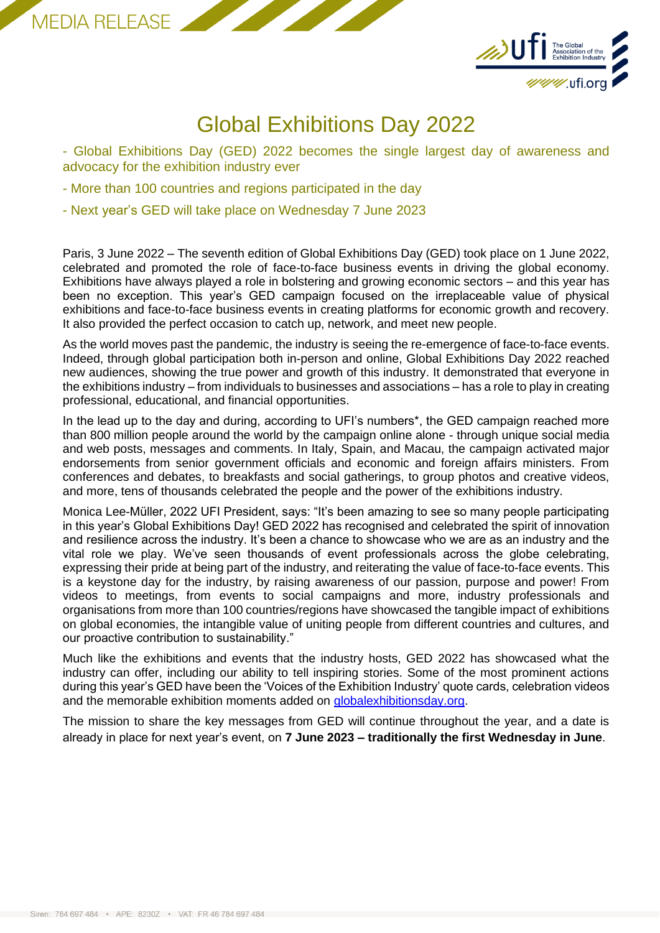



# Global Exhibitions Day 2022

- Global Exhibitions Day (GED) 2022 becomes the single largest day of awareness and advocacy for the exhibition industry ever

- More than 100 countries and regions participated in the day
- Next year's GED will take place on Wednesday 7 June 2023

Paris, 3 June 2022 – The seventh edition of Global Exhibitions Day (GED) took place on 1 June 2022, celebrated and promoted the role of face-to-face business events in driving the global economy. Exhibitions have always played a role in bolstering and growing economic sectors – and this year has been no exception. This year's GED campaign focused on the irreplaceable value of physical exhibitions and face-to-face business events in creating platforms for economic growth and recovery. It also provided the perfect occasion to catch up, network, and meet new people.

As the world moves past the pandemic, the industry is seeing the re-emergence of face-to-face events. Indeed, through global participation both in-person and online, Global Exhibitions Day 2022 reached new audiences, showing the true power and growth of this industry. It demonstrated that everyone in the exhibitions industry – from individuals to businesses and associations – has a role to play in creating professional, educational, and financial opportunities.

In the lead up to the day and during, according to UFI's numbers\*, the GED campaign reached more than 800 million people around the world by the campaign online alone - through unique social media and web posts, messages and comments. In Italy, Spain, and Macau, the campaign activated major endorsements from senior government officials and economic and foreign affairs ministers. From conferences and debates, to breakfasts and social gatherings, to group photos and creative videos, and more, tens of thousands celebrated the people and the power of the exhibitions industry.

Monica Lee-Müller, 2022 UFI President, says: "It's been amazing to see so many people participating in this year's Global Exhibitions Day! GED 2022 has recognised and celebrated the spirit of innovation and resilience across the industry. It's been a chance to showcase who we are as an industry and the vital role we play. We've seen thousands of event professionals across the globe celebrating, expressing their pride at being part of the industry, and reiterating the value of face-to-face events. This is a keystone day for the industry, by raising awareness of our passion, purpose and power! From videos to meetings, from events to social campaigns and more, industry professionals and organisations from more than 100 countries/regions have showcased the tangible impact of exhibitions on global economies, the intangible value of uniting people from different countries and cultures, and our proactive contribution to sustainability."

Much like the exhibitions and events that the industry hosts, GED 2022 has showcased what the industry can offer, including our ability to tell inspiring stories. Some of the most prominent actions during this year's GED have been the 'Voices of the Exhibition Industry' quote cards, celebration videos and the memorable exhibition moments added on [globalexhibitionsday.org.](https://ged.eventmaker.io/ged2022)

The mission to share the key messages from GED will continue throughout the year, and a date is already in place for next year's event, on **7 June 2023 – traditionally the first Wednesday in June**.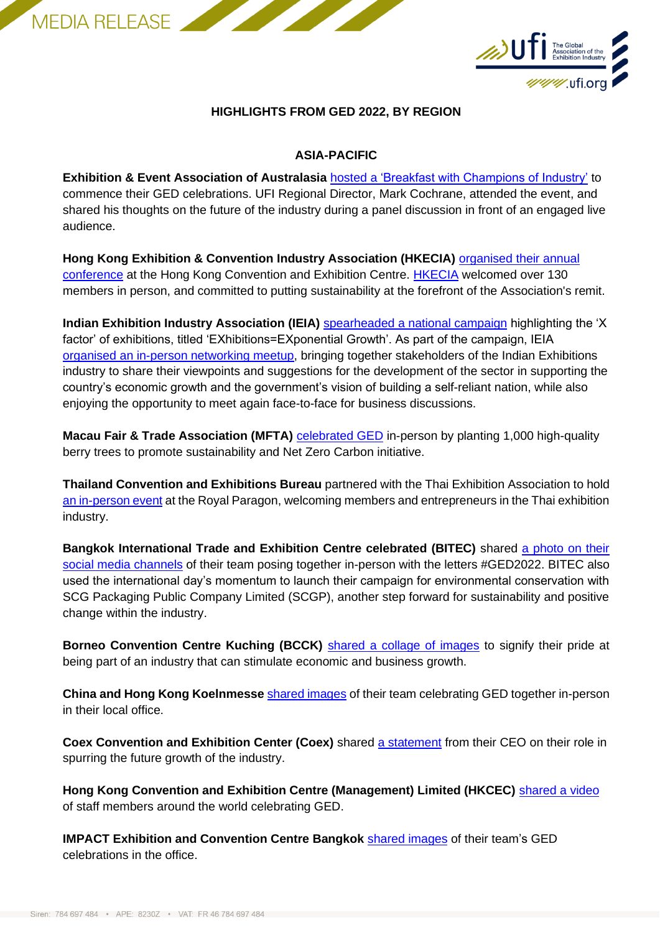MEDIA RELEASE



## **HIGHLIGHTS FROM GED 2022, BY REGION**

#### **ASIA-PACIFIC**

**Exhibition & Event Association of Australasia** [hosted a 'Breakfast with Champions of Industry'](https://www.linkedin.com/posts/eeaa_ged2022-eventsindustry-eventsprof-activity-6937569935745236992-nlm-/?utm_source=linkedin_share&utm_medium=member_desktop_web) to commence their GED celebrations. UFI Regional Director, Mark Cochrane, attended the event, and shared his thoughts on the future of the industry during a panel discussion in front of an engaged live audience.

**Hong Kong Exhibition & Convention Industry Association (HKECIA)** [organised their annual](https://www.linkedin.com/company/hkecia/?miniCompanyUrn=urn%3Ali%3Afs_miniCompany%3A14404597)  [conference](https://www.linkedin.com/company/hkecia/?miniCompanyUrn=urn%3Ali%3Afs_miniCompany%3A14404597) at the Hong Kong Convention and Exhibition Centre. [HKECIA](https://www.linkedin.com/posts/hkecia_ged2022-liveevents-hkecia-activity-6937733342054211584-7spq?utm_source=linkedin_share&utm_medium=member_desktop_web) welcomed over 130 members in person, and committed to putting sustainability at the forefront of the Association's remit.

**Indian Exhibition Industry Association (IEIA)** [spearheaded a national campaign](https://www.linkedin.com/company/indian-exhibition-industry-association/) highlighting the 'X factor' of exhibitions, titled 'EXhibitions=EXponential Growth'. As part of the campaign, IEIA [organised an in-person networking meetup,](https://www.linkedin.com/posts/indian-exhibition-industry-association_togetherwestand-ged2022-networking-activity-6938355755267895296-WpX7?utm_source=linkedin_share&utm_medium=member_desktop_web) bringing together stakeholders of the Indian Exhibitions industry to share their viewpoints and suggestions for the development of the sector in supporting the country's economic growth and the government's vision of building a self-reliant nation, while also enjoying the opportunity to meet again face-to-face for business discussions.

**Macau Fair & Trade Association (MFTA) [celebrated GED](http://www.macaucee.com.mo/content.asp?id=85487)** in-person by planting 1,000 high-quality berry trees to promote sustainability and Net Zero Carbon initiative.

**Thailand Convention and Exhibitions Bureau** partnered with the Thai Exhibition Association to hold [an in-person event](https://www.linkedin.com/feed/update/urn:li:activity:6936950416358154240/) at the Royal Paragon, welcoming members and entrepreneurs in the Thai exhibition industry.

**Bangkok International Trade and Exhibition Centre celebrated (BITEC)** shared [a photo on their](https://www.linkedin.com/posts/bitecpeople_mice-bitec-bitecpeople-activity-6937720121398280192-bVRN/?utm_source=linkedin_share&utm_medium=member_desktop_web)  [social media channels](https://www.linkedin.com/posts/bitecpeople_mice-bitec-bitecpeople-activity-6937720121398280192-bVRN/?utm_source=linkedin_share&utm_medium=member_desktop_web) of their team posing together in-person with the letters #GED2022. BITEC also used the international day's momentum to launch their campaign for environmental conservation with SCG Packaging Public Company Limited (SCGP), another step forward for sustainability and positive change within the industry.

**Borneo Convention Centre Kuching (BCCK)** [shared a collage of images](https://www.linkedin.com/posts/bcck_bccksarawak-ged2022-activity-6937583736540569600-6bkX?utm_source=linkedin_share&utm_medium=member_desktop_web) to signify their pride at being part of an industry that can stimulate economic and business growth.

**China and Hong Kong Koelnmesse** [shared images](https://www.linkedin.com/posts/keith-tsui-2b76a747_koelnmesse-globalexhibitionsday-ged2022-activity-6937703890754629633-f3gE?utm_source=linkedin_share&utm_medium=member_desktop_web) of their team celebrating GED together in-person in their local office.

**Coex Convention and Exhibition Center (Coex)** shared [a statement](https://www.linkedin.com/posts/coex_eventprofs-ged2022-exhibitionindustry-activity-6937553427153440768-1oHa?utm_source=linkedin_share&utm_medium=member_desktop_web) from their CEO on their role in spurring the future growth of the industry.

**Hong Kong Convention and Exhibition Centre (Management) Limited (HKCEC)** [shared a video](https://www.linkedin.com/posts/hong-kong-convention-and-exhibition-centre_ged22-activity-6937595535344177152-stWk?utm_source=linkedin_share&utm_medium=member_desktop_web) of staff members around the world celebrating GED.

**IMPACT Exhibition and Convention Centre Bangkok** [shared images](https://www.linkedin.com/posts/impact-exhibition-and-convention-centre-bangkok-thailand_brpbrwbrdbsjbrabspbra-impact-impactvenue-activity-6937643436720152576-rf7d?utm_source=linkedin_share&utm_medium=member_desktop_web) of their team's GED celebrations in the office.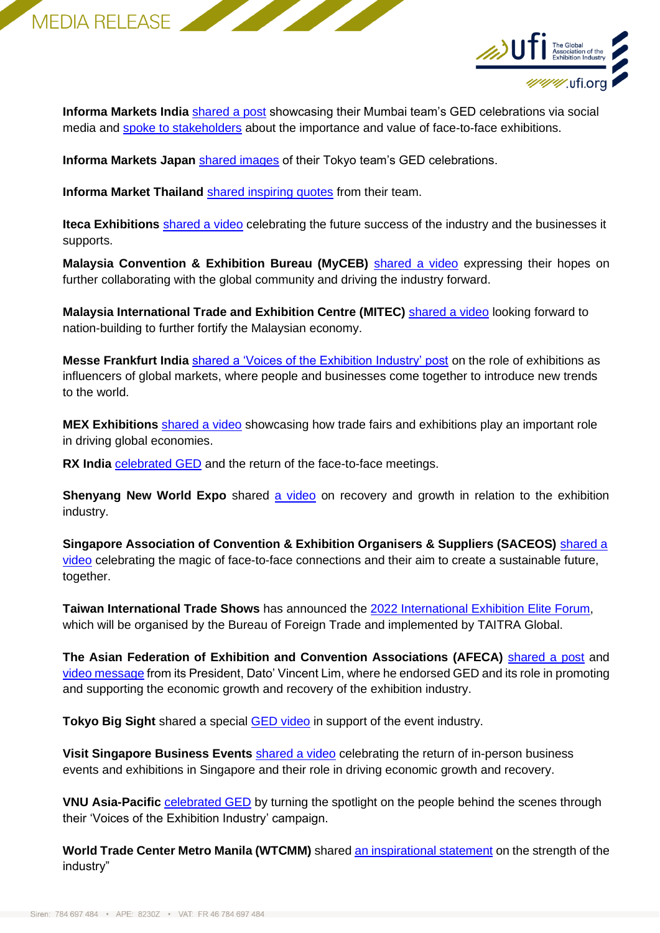



**Informa Markets India [shared a post](https://www.linkedin.com/posts/informa-markets-india_ged2022-informamarkets-informamarketsasia-activity-6937682370422525952-EJMn?utm_source=linkedin_share&utm_medium=member_desktop_web) showcasing their Mumbai team's GED celebrations via social** media and [spoke to stakeholders](https://www.linkedin.com/feed/update/urn:li:activity:6937762866133364736/) about the importance and value of face-to-face exhibitions.

**Informa Markets Japan** [shared images](https://www.linkedin.com/posts/christophereve_ged2022-informamarkets-japan-activity-6937708707539480576-Mh8d?utm_source=linkedin_share&utm_medium=member_desktop_web) of their Tokyo team's GED celebrations.

**Informa Market Thailand** [shared inspiring quotes](https://www.linkedin.com/feed/update/urn:li:activity:6937575832194297856/) from their team.

**Iteca Exhibitions** [shared a video](https://www.linkedin.com/posts/itecaexhibitions_ged2022-globalexhibitionsday-activity-6937633415701647360-wA9G?utm_source=linkedin_share&utm_medium=member_desktop_web) celebrating the future success of the industry and the businesses it supports.

**Malaysia Convention & Exhibition Bureau (MyCEB)** [shared a video](https://www.linkedin.com/posts/myceb_global-exhibitions-day-2022-activity-6937614267718213632-tZQP?utm_source=linkedin_share&utm_medium=member_desktop_web) expressing their hopes on further collaborating with the global community and driving the industry forward.

**Malaysia International Trade and Exhibition Centre (MITEC)** [shared a video](https://www.linkedin.com/posts/mitec-my_mitec-beyondconventional-justdifferent-activity-6937616389142671360-rWF9?utm_source=linkedin_share&utm_medium=member_desktop_web) looking forward to nation-building to further fortify the Malaysian economy.

**Messe Frankfurt India** [shared a 'Voices of the Exhibition Industry' post](https://www.linkedin.com/posts/messe-frankfurt-india_globalexhibitionsday-ged2022-exhibitionindustry-activity-6937645199057641472-cWSe?utm_source=linkedin_share&utm_medium=member_desktop_web) on the role of exhibitions as influencers of global markets, where people and businesses come together to introduce new trends to the world.

**MEX Exhibitions** [shared a video](https://www.linkedin.com/posts/mex-exhibitions-pvt-ltd-_ged-mexexhibitions-reset-activity-6937688047106805761-CoaQ?utm_source=linkedin_share&utm_medium=member_desktop_web) showcasing how trade fairs and exhibitions play an important role in driving global economies.

**RX India** [celebrated GED](https://www.linkedin.com/posts/indiaretailforum_rxindia-globalexhibitonsday-ged2022-activity-6937672480186585088-niuZ?utm_source=linkedin_share&utm_medium=member_desktop_web) and the return of the face-to-face meetings.

**Shenyang New World Expo** shared [a video](https://www.linkedin.com/posts/%E6%B2%88%E9%98%B3%E6%96%B0%E4%B8%96%E7%95%8C%E5%8D%9A%E8%A7%88%E9%A6%86_%E5%85%A8%E7%90%83%E5%B1%95%E8%A7%88%E6%97%A5%E5%BF%AB%E4%B9%90-happy-global-exhibitions-day-ged2022-activity-6936933590752534528-InEU/?utm_sou) on recovery and growth in relation to the exhibition industry.

**Singapore Association of Convention & Exhibition Organisers & Suppliers (SACEOS)** [shared a](https://www.linkedin.com/posts/saceos_happy-global-exhibitions-day-2022-activity-6937612844263694336-fJgG?utm_source=linkedin_share&utm_medium=member_desktop_web)  [video](https://www.linkedin.com/posts/saceos_happy-global-exhibitions-day-2022-activity-6937612844263694336-fJgG?utm_source=linkedin_share&utm_medium=member_desktop_web) celebrating the magic of face-to-face connections and their aim to create a sustainable future, together.

**Taiwan International Trade Shows** has announced the [2022 International Exhibition Elite Forum,](https://www.linkedin.com/posts/taiwan-international-trade-shows_2022-international-exhibition-elite-forum-activity-6932521254390247424-Y6oh/?utm_source=linkedin_share&utm_medium=member_desktop_web) which will be organised by the Bureau of Foreign Trade and implemented by TAITRA Global.

**The Asian Federation of Exhibition and Convention Associations (AFECA)** [shared a post](https://www.linkedin.com/posts/afeca-asia-828026183_ged2022-activity-6933232060983595008-YIB2?utm_source=linkedin_share&utm_medium=member_desktop_web) and [video message](https://www.linkedin.com/posts/afeca-asia-828026183_ged2022-activity-6937698346945933312-2kkm/?utm_source=linkedin_share&utm_medium=member_desktop_web) from its President, Dato' Vincent Lim, where he endorsed GED and its role in promoting and supporting the economic growth and recovery of the exhibition industry.

**Tokyo Big Sight** shared a special [GED video](https://www.youtube.com/watch?v=sk1X-t4TwsI) in support of the event industry.

**Visit Singapore Business Events** [shared a video](https://www.linkedin.com/feed/update/urn:li:activity:6937670041869914112/) celebrating the return of in-person business events and exhibitions in Singapore and their role in driving economic growth and recovery.

**VNU Asia-Pacific** [celebrated GED](https://www.linkedin.com/company/vnu-exhibitions-asia-pacific/) by turning the spotlight on the people behind the scenes through their 'Voices of the Exhibition Industry' campaign.

**World Trade Center Metro Manila (WTCMM)** shared [an inspirational statement](https://www.linkedin.com/feed/update/urn:li:activity:6935778751884443648/) on the strength of the industry"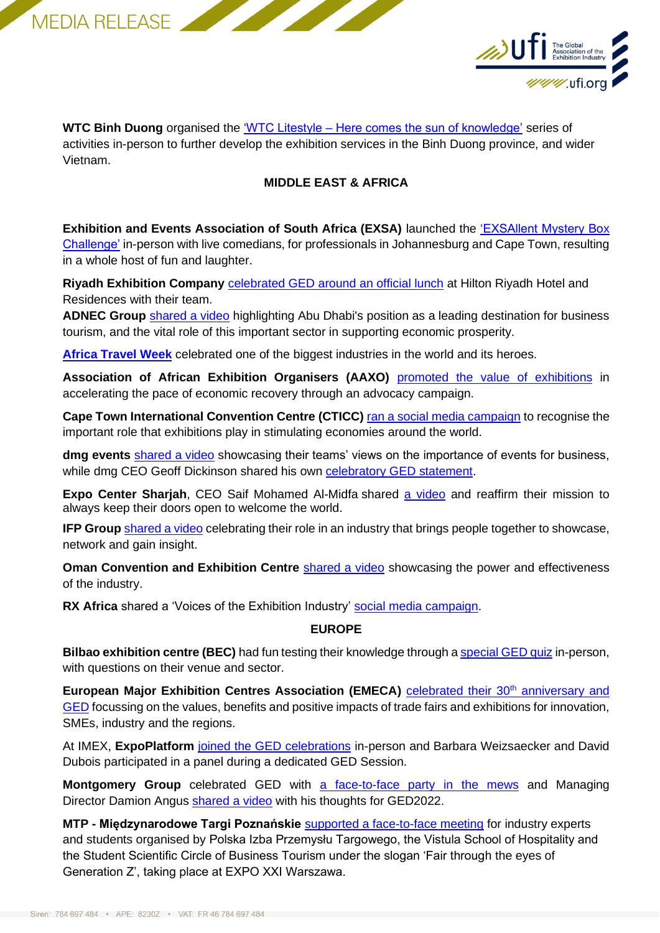



**WTC Binh Duong** organised the 'WTC Litestyle – [Here comes the sun of knowledge'](https://www.linkedin.com/posts/world-trade-center-binh-duong-new-city_wtc-wtcbinhduongnewcity-bcec-activity-6934798589839708160-jdnu/?utm_source=linkedin_share&utm_medium=member_desktop_web) series of activities in-person to further develop the exhibition services in the Binh Duong province, and wider Vietnam.

## **MIDDLE EAST & AFRICA**

**Exhibition and Events Association of South Africa (EXSA)** launched the 'EXSAllent Mystery Box [Challenge'](https://www.linkedin.com/posts/exhibition-and-events-association-of-south-africa_globalexhibitionsday-ged2022-exhibitionsandevents-activity-6935498671639670784-g4l1?utm_source=linkedin_share&utm_medium=member_desktop_web) in-person with live comedians, for professionals in Johannesburg and Cape Town, resulting in a whole host of fun and laughter.

**Riyadh Exhibition Company** [celebrated GED around an official lunch](https://www.linkedin.com/posts/camil-jawhari-72b696175_ged-activity-6938163637630980096--Don?utm_source=linkedin_share&utm_medium=member_desktop_web) at Hilton Riyadh Hotel and Residences with their team.

**ADNEC Group** [shared a video](https://www.linkedin.com/posts/adnec_aelaexaeuaeyaer-aepaesaeyaewaetabraepaesaehaepaesaetaeyabraesaesaetaehaepaezaee-activity-6937718714922336256-Jbms?utm_source=linkedin_share&utm_medium=member_desktop_web) highlighting Abu Dhabi's position as a leading destination for business tourism, and the vital role of this important sector in supporting economic prosperity.

**[Africa Travel Week](https://www.linkedin.com/posts/africa-travel-week_ged2022-activity-6937700277806317568-Z8O2?utm_source=linkedin_share&utm_medium=member_desktop_web)** celebrated one of the biggest industries in the world and its heroes.

**Association of African Exhibition Organisers (AAXO)** [promoted the value of exhibitions](https://www.linkedin.com/posts/aaxo_ged2022-wesupportexhibitions-exhibitionsbuildeconomies-activity-6935839659474194432-VaDh?utm_source=linkedin_share&utm_medium=member_desktop_web) in accelerating the pace of economic recovery through an advocacy campaign.

**Cape Town International Convention Centre (CTICC)** [ran a social media campaign](https://www.linkedin.com/company/cape-town-international-convention-centre/?miniCompanyUrn=urn%3Ali%3Afs_miniCompany%3A263206) to recognise the important role that exhibitions play in stimulating economies around the world.

**dmg events** [shared a video](https://www.linkedin.com/posts/dmgevents_celebrating-global-exhibitions-day-activity-6937690451567087616-NsDU/?utm_source=linkedin_share&utm_medium=member_desktop_web) showcasing their teams' views on the importance of events for business, while dmg CEO Geoff Dickinson shared his own **celebratory GED** statement.

**Expo Center Sharjah**, CEO Saif Mohamed Al-Midfa shared [a video](https://www.linkedin.com/posts/saif-mohamed-al-midfa-b7374222_ged2022-activity-6937762950636015616-eYwW?utm_source=linkedin_share&utm_medium=member_desktop_web) and reaffirm their mission to always keep their doors open to welcome the world.

**IFP Group** [shared a video](https://www.linkedin.com/posts/ifp-group_ifp-celebrating-global-exhibitions-day-2022-activity-6937362059307200512-juQ0?utm_source=linkedin_share&utm_medium=member_desktop_web) celebrating their role in an industry that brings people together to showcase, network and gain insight.

**Oman Convention and Exhibition Centre** [shared a video](https://www.linkedin.com/company/omanconvention/videos/native/urn:li:ugcPost:6937672911453331456/) showcasing the power and effectiveness of the industry.

**RX Africa** shared a 'Voices of the Exhibition Industry' [social media campaign.](https://www.linkedin.com/company/rxafrica/?miniCompanyUrn=urn%3Ali%3Afs_miniCompany%3A2141916)

## **EUROPE**

**Bilbao exhibition centre (BEC)** had fun testing their knowledge through [a special GED quiz](https://www.linkedin.com/posts/bilbao-exhibition-centre_bec-ged2022-ged-activity-6937765898925568000-BPT0/?utm_source=linkedin_share&utm_medium=member_desktop_web) in-person, with questions on their venue and sector.

European Major Exhibition Centres Association (EMECA) [celebrated their 30](https://www.linkedin.com/company/european-major-exhibition-centres-association/posts/?feedView=all)<sup>th</sup> anniversary and [GED](https://www.linkedin.com/company/european-major-exhibition-centres-association/posts/?feedView=all) focussing on the values, benefits and positive impacts of trade fairs and exhibitions for innovation, SMEs, industry and the regions.

At IMEX, **ExpoPlatform** [joined the GED celebrations](https://www.linkedin.com/posts/expoplatform_live-at-imex-frankfurt-2022-activity-6937677471404171264-5vuK?utm_source=linkedin_share&utm_medium=member_desktop_web) in-person and Barbara Weizsaecker and David Dubois participated in a panel during a dedicated GED Session.

**Montgomery Group** celebrated GED with [a face-to-face party in the mews](https://www.linkedin.com/posts/montgomerygroup_ged2022-jubilee2022-jubileeweekend-activity-6937763077811572736-P-1W?utm_source=linkedin_share&utm_medium=member_desktop_web) and Managing Director Damion Angus [shared a video](https://www.linkedin.com/posts/montgomerygroup_jubileeweekend-ged2022-activity-6937767710479052800-w6xn?utm_source=linkedin_share&utm_medium=member_desktop_web) with his thoughts for GED2022.

**MTP - Międzynarodowe Targi Poznańskie** [supported a face-to-face meeting](https://www.linkedin.com/posts/targi-kielce-sa_ged2022-ged-globalexhibitionday-activity-6936975823115583489-URBH?utm_source=linkedin_share&utm_medium=member_desktop_web) for industry experts and students organised by Polska Izba Przemysłu Targowego, the Vistula School of Hospitality and the Student Scientific Circle of Business Tourism under the slogan 'Fair through the eyes of Generation Z', taking place at EXPO XXI Warszawa.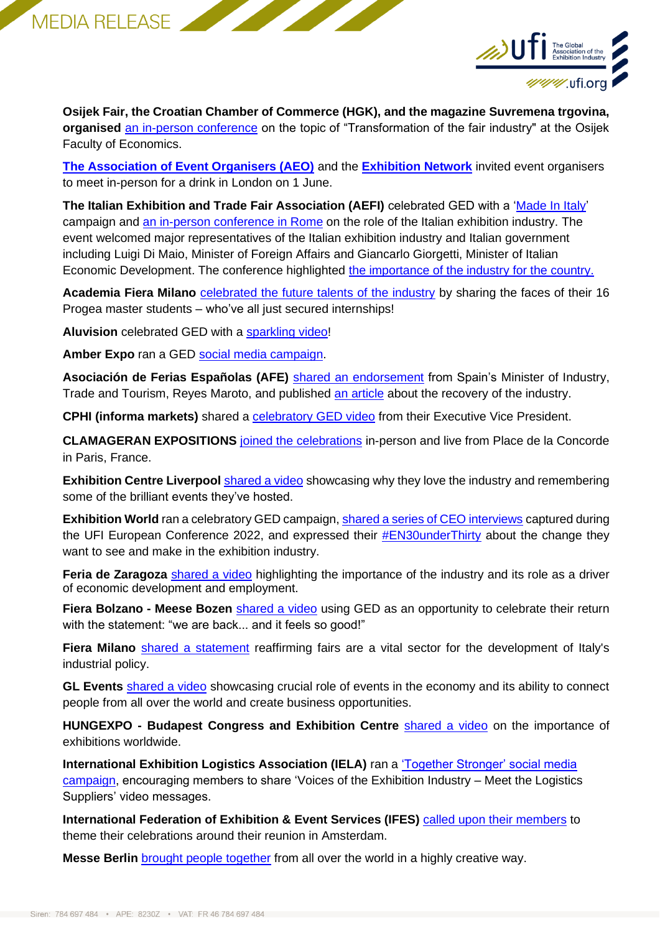



**Osijek Fair, the Croatian Chamber of Commerce (HGK), and the magazine Suvremena trgovina, organised** [an in-person conference](http://suvremena.hr/klasicni-sajmovi-nemaju-alternativu/) on the topic of "Transformation of the fair industry" at the Osijek Faculty of Economics.

**[The Association of Event Organisers \(AEO\)](https://www.aeo.org.uk/welcome/about-us)** and the **[Exhibition Network](https://www.eventbrite.co.uk/e/back-in-business-tickets-337455888647)** invited event organisers to meet in-person for a drink in London on 1 June.

The Italian Exhibition and Trade Fair Association (AEFI) celebrated GED with a ['Made In Italy'](https://youtu.be/BUut01CGyrI) campaign and [an in-person conference in Rome](https://www.aefi.it/en/special-projects/ged2022/) on the role of the Italian exhibition industry. The event welcomed major representatives of the Italian exhibition industry and Italian government including Luigi Di Maio, Minister of Foreign Affairs and Giancarlo Giorgetti, Minister of Italian Economic Development. The conference highlighted [the importance of the industry for the country.](https://ispropress.it/aefi-prometeia-impatto-del-sistema-fieristico-a-225-miliardi-di-euro-e-203-mila-occupati/)

**Academia Fiera Milano** [celebrated the future talents of the industry](https://www.linkedin.com/posts/accademia-fiera-milano_ged22-youngtalents-accademiafieramilano-activity-6937720764791988224-BF-e?utm_source=linkedin_share&utm_medium=member_desktop_web) by sharing the faces of their 16 Progea master students – who've all just secured internships!

**Aluvision** celebrated GED with a [sparkling video!](https://www.linkedin.com/posts/aluvision_aluvision-celebrates-global-exhibitions-day-activity-6937669280549224448-Gs5L/?utm_source=linkedin_share&utm_medium=member_desktop_web)

**Amber Expo** ran a GED [social media campaign.](https://www.linkedin.com/company/amberexpo/?miniCompanyUrn=urn%3Ali%3Afs_miniCompany%3A36997798)

Asociación de Ferias Españolas (AFE) [shared an endorsement](https://www.linkedin.com/posts/spanish-trade-fairs-association_asocferiasesp-exhibitions-ged2022-activity-6937728690118131712-vOb2?utm_source=linkedin_share&utm_medium=member_desktop_web) from Spain's Minister of Industry, Trade and Tourism, Reyes Maroto, and published [an article](https://www.afe.es/es/noticia/ifa-celebra-el-global-exhibitions-day-en-un-ano-marcado-por-la-recuperacion-de-la-actividad-ferial-6655) about the recovery of the industry.

**CPHI (informa markets)** shared a **celebratory GED** video from their Executive Vice President.

**CLAMAGERAN EXPOSITIONS** [joined the celebrations](https://www.linkedin.com/in/ACoAABrlDFgBNhRpp3Ct35WHHUmZaXGNbeBlxJE) in-person and live from Place de la Concorde in Paris, France.

**Exhibition Centre Liverpool** [shared a video](https://www.linkedin.com/posts/exhibition-centre-liverpool_ged2022-activity-6937780131243393024-iWzK/?utm_source=linkedin_share&utm_medium=member_desktop_web) showcasing why they love the industry and remembering some of the brilliant events they've hosted.

**Exhibition World** ran a celebratory GED campaign, [shared a series of CEO interviews](https://www.linkedin.com/showcase/exhibition-world/) captured during the UFI European Conference 2022, and expressed their **#EN30underThirty** about the change they want to see and make in the exhibition industry.

**Feria de Zaragoza** [shared a video](https://www.linkedin.com/posts/feria-de-zaragoza_global-exhibitions-day-2022-feria-de-zaragoza-activity-6937679705881911296-S0P6?utm_source=linkedin_share&utm_medium=member_desktop_web) highlighting the importance of the industry and its role as a driver of economic development and employment.

**Fiera Bolzano - Meese Bozen** [shared a video](https://www.linkedin.com/company/fiera-bolzano-spa/?miniCompanyUrn=urn%3Ali%3Afs_miniCompany%3A372920) using GED as an opportunity to celebrate their return with the statement: "we are back... and it feels so good!"

Fiera Milano [shared a statement](https://www.linkedin.com/feed/update/urn:li:activity:6937797575966142464/) reaffirming fairs are a vital sector for the development of Italy's industrial policy.

**GL Events** [shared a video](https://www.linkedin.com/posts/gl-events_gl-events-c%C3%A9l%C3%A8bre-le-global-exhibitions-day-activity-6937703635057315840-abzA/?utm_source=linkedin_share&utm_medium=member_desktop_web) showcasing crucial role of events in the economy and its ability to connect people from all over the world and create business opportunities.

**HUNGEXPO - Budapest Congress and Exhibition Centre [shared a video](https://hungexpo.hu/news/global-exhibitons-day-2022/) on the importance of** exhibitions worldwide.

**International Exhibition Logistics Association (IELA)** ran a ['Together Stronger' social media](https://www.iela.org/news/global-exhibitions-day/ged2022.html)  [campaign,](https://www.iela.org/news/global-exhibitions-day/ged2022.html) encouraging members to share 'Voices of the Exhibition Industry - Meet the Logistics Suppliers' video messages.

**International Federation of Exhibition & Event Services (IFES)** [called upon their members](https://www.linkedin.com/posts/ifesofficial_ged2022-ifesabrws-allthingsdutch-activity-6935560256169091073-MTZ1?utm_source=linkedin_share&utm_medium=member_desktop_web) to theme their celebrations around their reunion in Amsterdam.

**Messe Berlin** [brought people together](https://www.linkedin.com/posts/messe-berlin-gmbh_global-exhibition-day-2022-activity-6937763175131971585-HcB1?utm_source=linkedin_share&utm_medium=member_desktop_web) from all over the world in a highly creative way.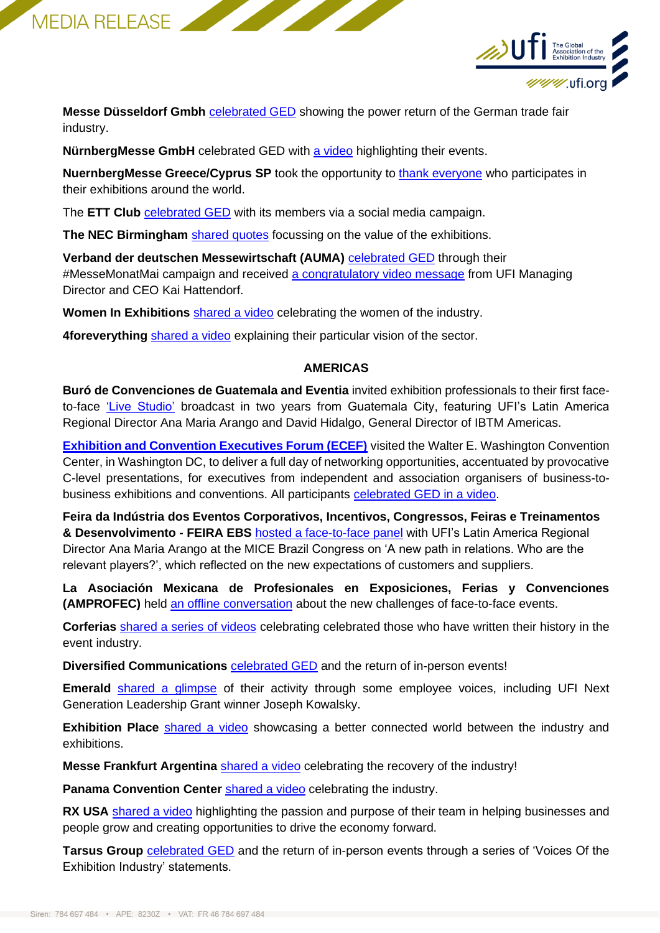



**Messe Düsseldorf Gmbh** [celebrated GED](https://www.linkedin.com/posts/messe-duesseldorf_globalexhibitionsday-messemonatmai-messedaessseldorf-activity-6937765798555877378-tlJg?utm_source=linkedin_share&utm_medium=member_desktop_web) showing the power return of the German trade fair industry.

**NürnbergMesse GmbH** celebrated GED with [a video](https://www.linkedin.com/posts/exhibition-centre-liverpool_ged2022-activity-6937780131243393024-iWzK/?utm_source=linkedin_share&utm_medium=member_desktop_web) highlighting their events.

**NuernbergMesse Greece/Cyprus SP** took the opportunity to [thank everyone](https://www.linkedin.com/posts/nuernbergmesse-greece-cyprus-sp_ged2022-activity-6937698938082738176-8CEC?utm_source=linkedin_share&utm_medium=member_desktop_web) who participates in their exhibitions around the world.

The **ETT Club** [celebrated GED](https://www.linkedin.com/posts/matthiasbaur_the-ett-club-wishes-you-a-great-global-exhbitions-activity-6937626092614635520-30ir/?utm_source=linkedin_share&utm_medium=member_desktop_web) with its members via a social media campaign.

**The NEC Birmingham** [shared quotes](https://www.linkedin.com/posts/the-nec-birmingham_ged2022-activity-6937757687556263936-MsNR?utm_source=linkedin_share&utm_medium=member_desktop_web) focussing on the value of the exhibitions.

**Verband der deutschen Messewirtschaft (AUMA)** [celebrated GED](https://www.linkedin.com/posts/auma-ausstellungs--und-messe-ausschuss-der-deutschen-wirtschaft_globalexhibitionsday-ged2022-ged22-activity-6937687794479726592-5JUy?utm_source=linkedin_share&utm_medium=member_desktop_web) through their #MesseMonatMai campaign and received [a congratulatory video message](https://www.linkedin.com/feed/update/urn:li:activity:6937719254628630528) from UFI Managing Director and CEO Kai Hattendorf.

**Women In Exhibitions** [shared a video](https://www.linkedin.com/posts/women-in-exhibitions-network_happy-global-exhibitions-day-activity-6937835937594798080-zRzH?utm_source=linkedin_share&utm_medium=member_desktop_web) celebrating the women of the industry.

**4foreverything** [shared a video](https://www.linkedin.com/feed/update/urn:li:activity:6937672667911090176/) explaining their particular vision of the sector.

#### **AMERICAS**

**Buró de Convenciones de Guatemala and Eventia** invited exhibition professionals to their first faceto-face ['Live Studio'](https://www.linkedin.com/posts/eventiahn_ged2022-activity-6936784873097478144-TlsT/?utm_source=linkedin_share&utm_medium=member_desktop_web) broadcast in two years from Guatemala City, featuring UFI's Latin America Regional Director Ana Maria Arango and David Hidalgo, General Director of IBTM Americas.

**[Exhibition and Convention Executives Forum \(ECEF\)](https://www.lippmanconnects.com/events/ecef)** visited the Walter E. Washington Convention Center, in Washington DC, to deliver a full day of networking opportunities, accentuated by provocative C-level presentations, for executives from independent and association organisers of business-tobusiness exhibitions and conventions. All participants [celebrated GED in a video.](https://www.linkedin.com/posts/caitlindevlin_ged2022-ecef2022-activity-6937836588634677249-w08c?utm_source=linkedin_share&utm_medium=member_desktop_web)

**Feira da Indústria dos Eventos Corporativos, Incentivos, Congressos, Feiras e Treinamentos & Desenvolvimento - FEIRA EBS** [hosted a face-to-face panel](https://www.linkedin.com/posts/feira-ebs-evento-business-show-60aa2930_profissionaisdeeventos-ebs20anos-feirascomerciais-activity-6936990889617575936-2M4J/?utm_source=linkedin_share&utm_medium=member_desktop_web) with UFI's Latin America Regional Director Ana Maria Arango at the MICE Brazil Congress on 'A new path in relations. Who are the relevant players?', which reflected on the new expectations of customers and suppliers.

**La Asociación Mexicana de Profesionales en Exposiciones, Ferias y Convenciones (AMPROFEC)** held [an offline conversation](https://www.amprofec.org/global-exhibition-day/) about the new challenges of face-to-face events.

**Corferias** [shared a series of videos](https://corferias.com/es/ged-2022/) celebrating celebrated those who have written their history in the event industry.

**Diversified Communications <b>[celebrated GED](https://www.linkedin.com/posts/diversified-business-communications_ged2022-globalexhibitionsday-activity-6937748908286627840-cDRX/?utm_source=linkedin_share&utm_medium=member_desktop_web)** and the return of in-person events!

**Emerald** [shared a glimpse](https://www.linkedin.com/company/emeraldx/) of their activity through some employee voices, including UFI Next Generation Leadership Grant winner Joseph Kowalsky.

**Exhibition Place** [shared a video](https://www.linkedin.com/posts/exhibition-place_exhibition-place-celebrates-ged-2022-activity-6937761513487179776-VVT9?utm_source=linkedin_share&utm_medium=member_desktop_web) showcasing a better connected world between the industry and exhibitions.

**Messe Frankfurt Argentina** [shared a video](https://www.linkedin.com/posts/messe-frankfurt-argentina_ged2022-globalexhibitionsday-activity-6937734749566169088-fwqv/?utm_source=linkedin_share&utm_medium=member_desktop_web) celebrating the recovery of the industry!

**Panama Convention Center <b>[shared a video](https://www.linkedin.com/posts/panamaconventions_ged2022-ged2022-panamaconventioncenter-activity-6937858286100647936-0MHA?utm_source=linkedin_share&utm_medium=member_desktop_web)** celebrating the industry.

**RX USA** [shared a video](https://www.linkedin.com/posts/rxglobalusa_ged22-activity-6937729850447147008-JrMa/?utm_source=linkedin_share&utm_medium=member_desktop_web) highlighting the passion and purpose of their team in helping businesses and people grow and creating opportunities to drive the economy forward.

**Tarsus Group** [celebrated GED](https://twitter.com/TarsusGroup) and the return of in-person events through a series of 'Voices Of the Exhibition Industry' statements.